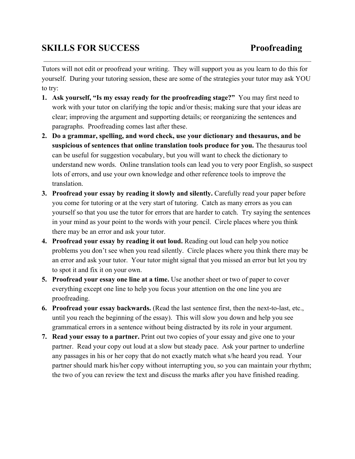## **SKILLS FOR SUCCESS Proofreading**

Tutors will not edit or proofread your writing. They will support you as you learn to do this for yourself. During your tutoring session, these are some of the strategies your tutor may ask YOU to try:

- **1. Ask yourself, "Is my essay ready for the proofreading stage?"** You may first need to work with your tutor on clarifying the topic and/or thesis; making sure that your ideas are clear; improving the argument and supporting details; or reorganizing the sentences and paragraphs. Proofreading comes last after these.
- **2. Do a grammar, spelling, and word check, use your dictionary and thesaurus, and be suspicious of sentences that online translation tools produce for you.**The thesaurus tool can be useful for suggestion vocabulary, but you will want to check the dictionary to understand new words. Online translation tools can lead you to very poor English, so suspect lots of errors, and use your own knowledge and other reference tools to improve the translation.
- **3. Proofread your essay by reading it slowly and silently.**Carefully read your paper before you come for tutoring or at the very start of tutoring. Catch as many errors as you can yourself so that you use the tutor for errors that are harder to catch. Try saying the sentences in your mind as your point to the words with your pencil. Circle places where you think there may be an error and ask your tutor.
- **4. Proofread your essay by reading it out loud.**Reading out loud can help you notice problems you don't see when you read silently. Circle places where you think there may be an error and ask your tutor. Your tutor might signal that you missed an error but let you try to spot it and fix it on your own.
- **5. Proofread your essay one line at a time.**Use another sheet or two of paper to cover everything except one line to help you focus your attention on the one line you are proofreading.
- **6.** Proofread your essay backwards. (Read the last sentence first, then the next-to-last, etc., until you reach the beginning of the essay). This will slow you down and help you see grammatical errors in a sentence without being distracted by its role in your argument.
- **7. Read your essay to a partner.**Print out two copies of your essay and give one to your partner. Read your copy out loud at a slow but steady pace. Ask your partner to underline any passages in his or her copy that do not exactly match what s/he heard you read. Your partner should mark his/her copy without interrupting you, so you can maintain your rhythm; the two of you can review the text and discuss the marks after you have finished reading.